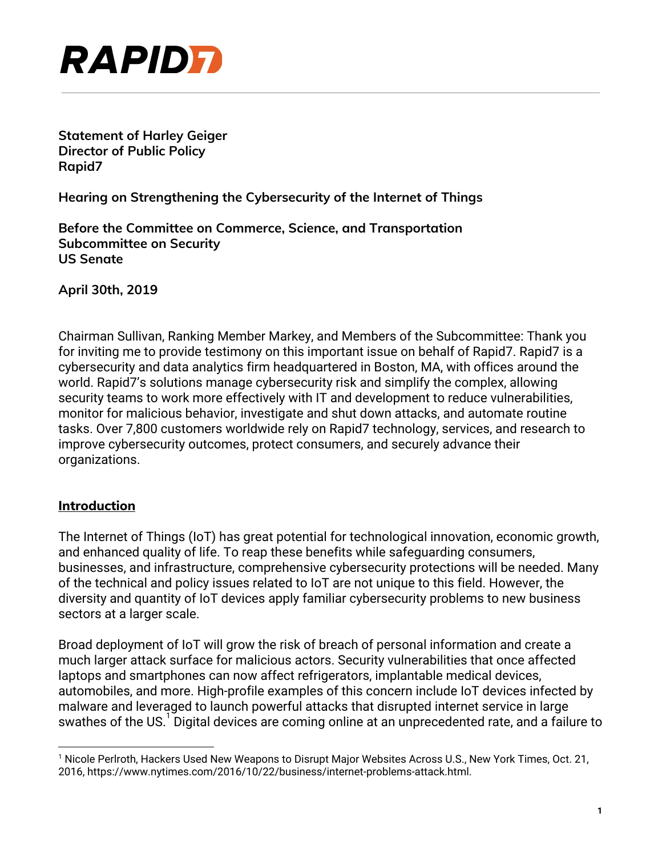

**Statement of Harley Geiger Director of Public Policy Rapid7**

**Hearing on Strengthening the Cybersecurity of the Internet of Things**

**Before the Committee on Commerce, Science, and Transportation Subcommittee on Security US Senate**

**April 30th, 2019**

Chairman Sullivan, Ranking Member Markey, and Members of the Subcommittee: Thank you for inviting me to provide testimony on this important issue on behalf of Rapid7. Rapid7 is a cybersecurity and data analytics firm headquartered in Boston, MA, with offices around the world. Rapid7's solutions manage cybersecurity risk and simplify the complex, allowing security teams to work more effectively with IT and development to reduce vulnerabilities, monitor for malicious behavior, investigate and shut down attacks, and automate routine tasks. Over 7,800 customers worldwide rely on Rapid7 technology, services, and research to improve cybersecurity outcomes, protect consumers, and securely advance their organizations.

#### **Introduction**

The Internet of Things (IoT) has great potential for technological innovation, economic growth, and enhanced quality of life. To reap these benefits while safeguarding consumers, businesses, and infrastructure, comprehensive cybersecurity protections will be needed. Many of the technical and policy issues related to IoT are not unique to this field. However, the diversity and quantity of IoT devices apply familiar cybersecurity problems to new business sectors at a larger scale.

Broad deployment of IoT will grow the risk of breach of personal information and create a much larger attack surface for malicious actors. Security vulnerabilities that once affected laptops and smartphones can now affect refrigerators, implantable medical devices, automobiles, and more. High-profile examples of this concern include IoT devices infected by malware and leveraged to launch powerful attacks that disrupted internet service in large swathes of the US. Digital devices are coming online at an unprecedented rate, and a failure to

<sup>1</sup> Nicole Perlroth, Hackers Used New Weapons to Disrupt Major Websites Across U.S., New York Times, Oct. 21, 2016, https://www.nytimes.com/2016/10/22/business/internet-problems-attack.html.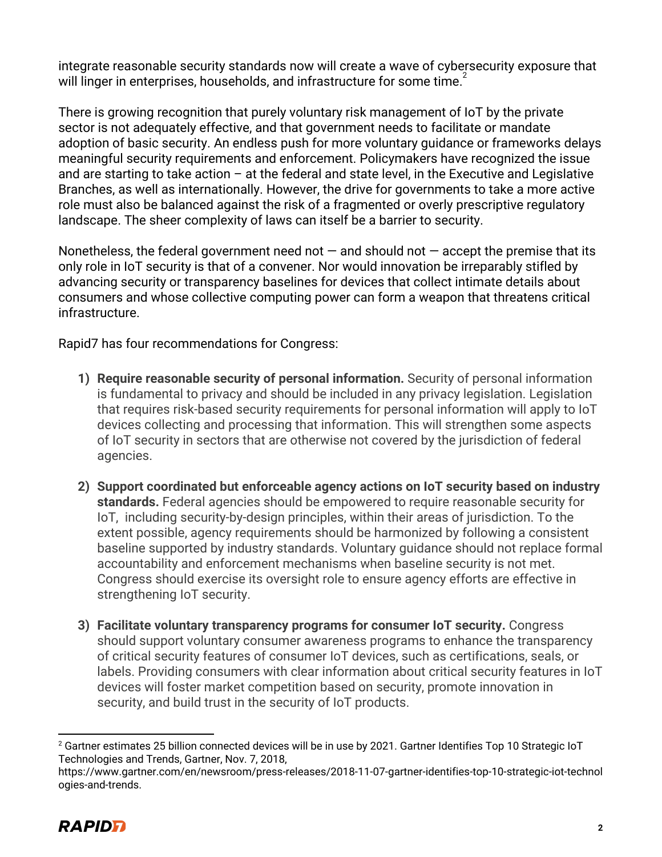integrate reasonable security standards now will create a wave of cybersecurity exposure that will linger in enterprises, households, and infrastructure for some time.

There is growing recognition that purely voluntary risk management of IoT by the private sector is not adequately effective, and that government needs to facilitate or mandate adoption of basic security. An endless push for more voluntary guidance or frameworks delays meaningful security requirements and enforcement. Policymakers have recognized the issue and are starting to take action – at the federal and state level, in the Executive and Legislative Branches, as well as internationally. However, the drive for governments to take a more active role must also be balanced against the risk of a fragmented or overly prescriptive regulatory landscape. The sheer complexity of laws can itself be a barrier to security.

Nonetheless, the federal government need not  $-$  and should not  $-$  accept the premise that its only role in IoT security is that of a convener. Nor would innovation be irreparably stifled by advancing security or transparency baselines for devices that collect intimate details about consumers and whose collective computing power can form a weapon that threatens critical infrastructure.

Rapid7 has four recommendations for Congress:

- **1) Require reasonable security of personal information.** Security of personal information is fundamental to privacy and should be included in any privacy legislation. Legislation that requires risk-based security requirements for personal information will apply to IoT devices collecting and processing that information. This will strengthen some aspects of IoT security in sectors that are otherwise not covered by the jurisdiction of federal agencies.
- **2) Support coordinated but enforceable agency actions on IoT security based on industry standards.** Federal agencies should be empowered to require reasonable security for IoT, including security-by-design principles, within their areas of jurisdiction. To the extent possible, agency requirements should be harmonized by following a consistent baseline supported by industry standards. Voluntary guidance should not replace formal accountability and enforcement mechanisms when baseline security is not met. Congress should exercise its oversight role to ensure agency efforts are effective in strengthening IoT security.
- **3) Facilitate voluntary transparency programs for consumer IoT security.** Congress should support voluntary consumer awareness programs to enhance the transparency of critical security features of consumer IoT devices, such as certifications, seals, or labels. Providing consumers with clear information about critical security features in IoT devices will foster market competition based on security, promote innovation in security, and build trust in the security of IoT products.

https://www.gartner.com/en/newsroom/press-releases/2018-11-07-gartner-identifies-top-10-strategic-iot-technol ogies-and-trends.



<sup>&</sup>lt;sup>2</sup> Gartner estimates 25 billion connected devices will be in use by 2021. Gartner Identifies Top 10 Strategic IoT Technologies and Trends, Gartner, Nov. 7, 2018,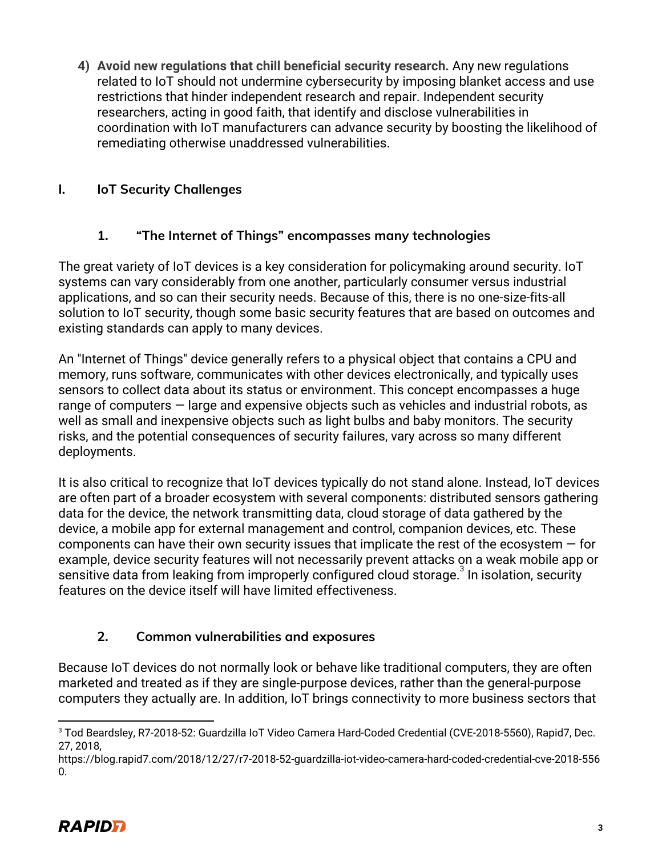**4) Avoid new regulations that chill beneficial security research.** Any new regulations related to IoT should not undermine cybersecurity by imposing blanket access and use restrictions that hinder independent research and repair. Independent security researchers, acting in good faith, that identify and disclose vulnerabilities in coordination with IoT manufacturers can advance security by boosting the likelihood of remediating otherwise unaddressed vulnerabilities.

# **I. IoT Security Challenges**

# **1. "The Internet of Things" encompasses many technologies**

The great variety of IoT devices is a key consideration for policymaking around security. IoT systems can vary considerably from one another, particularly consumer versus industrial applications, and so can their security needs. Because of this, there is no one-size-fits-all solution to IoT security, though some basic security features that are based on outcomes and existing standards can apply to many devices.

An "Internet of Things" device generally refers to a physical object that contains a CPU and memory, runs software, communicates with other devices electronically, and typically uses sensors to collect data about its status or environment. This concept encompasses a huge range of computers — large and expensive objects such as vehicles and industrial robots, as well as small and inexpensive objects such as light bulbs and baby monitors. The security risks, and the potential consequences of security failures, vary across so many different deployments.

It is also critical to recognize that IoT devices typically do not stand alone. Instead, IoT devices are often part of a broader ecosystem with several components: distributed sensors gathering data for the device, the network transmitting data, cloud storage of data gathered by the device, a mobile app for external management and control, companion devices, etc. These components can have their own security issues that implicate the rest of the ecosystem  $-$  for example, device security features will not necessarily prevent attacks on a weak mobile app or sensitive data from leaking from improperly configured cloud storage.<sup>3</sup> In isolation, security features on the device itself will have limited effectiveness.

# **2. Common vulnerabilities and exposures**

Because IoT devices do not normally look or behave like traditional computers, they are often marketed and treated as if they are single-purpose devices, rather than the general-purpose computers they actually are. In addition, IoT brings connectivity to more business sectors that

<sup>3</sup> Tod Beardsley, R7-2018-52: Guardzilla IoT Video Camera Hard-Coded Credential (CVE-2018-5560), Rapid7, Dec. 27, 2018,

https://blog.rapid7.com/2018/12/27/r7-2018-52-guardzilla-iot-video-camera-hard-coded-credential-cve-2018-556  $\Omega$ .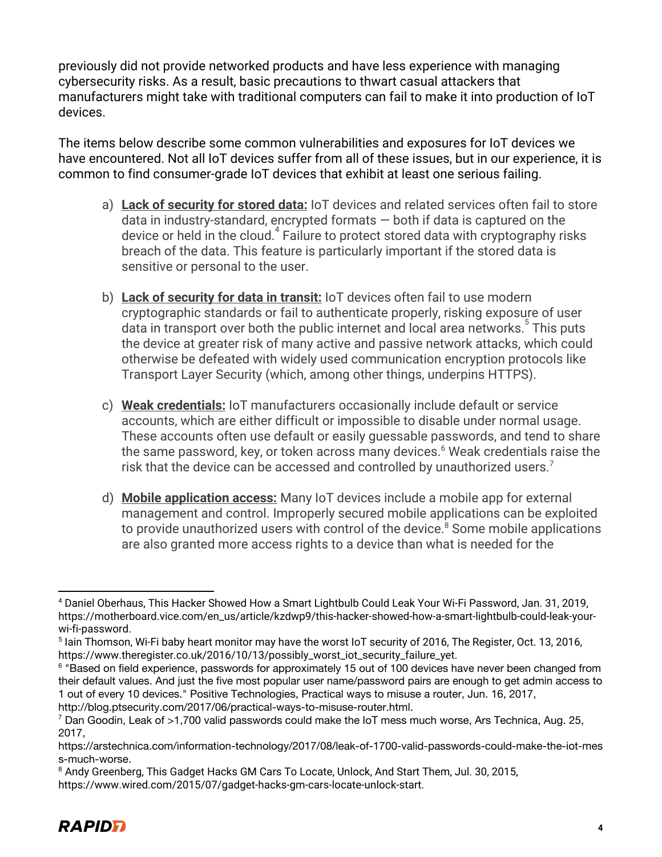previously did not provide networked products and have less experience with managing cybersecurity risks. As a result, basic precautions to thwart casual attackers that manufacturers might take with traditional computers can fail to make it into production of IoT devices.

The items below describe some common vulnerabilities and exposures for IoT devices we have encountered. Not all IoT devices suffer from all of these issues, but in our experience, it is common to find consumer-grade IoT devices that exhibit at least one serious failing.

- a) **Lack of security for stored data:** IoT devices and related services often fail to store data in industry-standard, encrypted formats — both if data is captured on the device or held in the cloud.<sup> $4$ </sup> Failure to protect stored data with cryptography risks breach of the data. This feature is particularly important if the stored data is sensitive or personal to the user.
- b) **Lack of security for data in transit:** IoT devices often fail to use modern cryptographic standards or fail to authenticate properly, risking exposure of user data in transport over both the public internet and local area networks.<sup>5</sup> This puts the device at greater risk of many active and passive network attacks, which could otherwise be defeated with widely used communication encryption protocols like Transport Layer Security (which, among other things, underpins HTTPS).
- c) **Weak credentials:** IoT manufacturers occasionally include default or service accounts, which are either difficult or impossible to disable under normal usage. These accounts often use default or easily guessable passwords, and tend to share the same password, key, or token across many devices.<sup>6</sup> Weak credentials raise the risk that the device can be accessed and controlled by unauthorized users.<sup>7</sup>
- d) **Mobile application access:** Many IoT devices include a mobile app for external management and control. Improperly secured mobile applications can be exploited to provide unauthorized users with control of the device.<sup>8</sup> Some mobile applications are also granted more access rights to a device than what is needed for the

https://www.wired.com/2015/07/gadget-hacks-gm-cars-locate-unlock-start.



<sup>4</sup> Daniel Oberhaus, This Hacker Showed How a Smart Lightbulb Could Leak Your Wi-Fi Password, Jan. 31, 2019, https://motherboard.vice.com/en\_us/article/kzdwp9/this-hacker-showed-how-a-smart-lightbulb-could-leak-yourwi-fi-password.

<sup>5</sup> Iain Thomson, Wi-Fi baby heart monitor may have the worst IoT security of 2016, The Register, Oct. 13, 2016, https://www.theregister.co.uk/2016/10/13/possibly\_worst\_iot\_security\_failure\_yet.

<sup>6</sup> "Based on field experience, passwords for approximately 15 out of 100 devices have never been changed from their default values. And just the five most popular user name/password pairs are enough to get admin access to 1 out of every 10 devices." Positive Technologies, Practical ways to misuse a router, Jun. 16, 2017, http://blog.ptsecurity.com/2017/06/practical-ways-to-misuse-router.html.

 $7$  Dan Goodin, Leak of >1,700 valid passwords could make the IoT mess much worse, Ars Technica, Aug. 25, 2017,

https://arstechnica.com/information-technology/2017/08/leak-of-1700-valid-passwords-could-make-the-iot-mes s-much-worse.

<sup>&</sup>lt;sup>8</sup> Andy Greenberg, This Gadget Hacks GM Cars To Locate, Unlock, And Start Them, Jul. 30, 2015,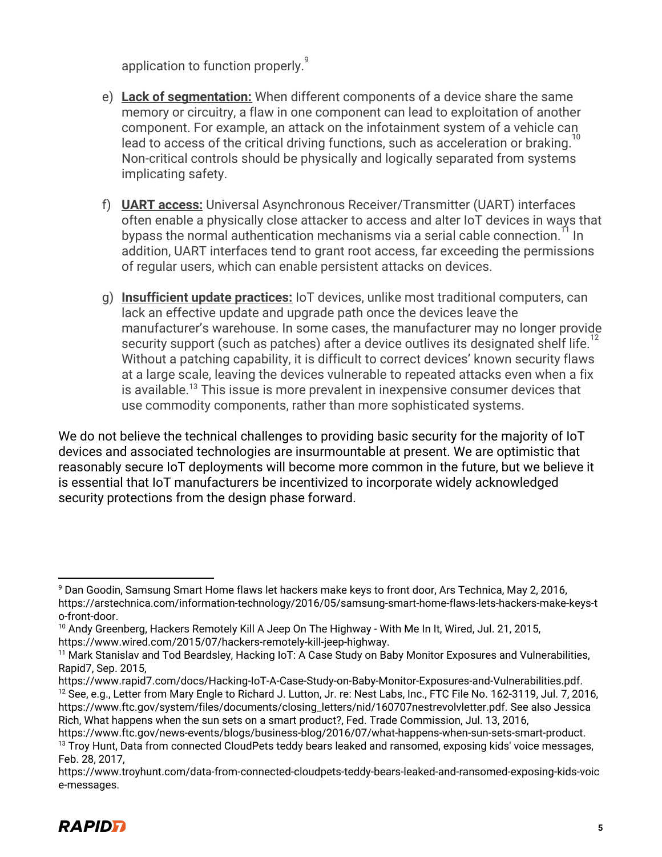application to function properly.<sup>9</sup>

- e) **Lack of segmentation:** When different components of a device share the same memory or circuitry, a flaw in one component can lead to exploitation of another component. For example, an attack on the infotainment system of a vehicle can lead to access of the critical driving functions, such as acceleration or braking.<sup>1</sup> Non-critical controls should be physically and logically separated from systems implicating safety.
- f) **UART access:** Universal Asynchronous Receiver/Transmitter (UART) interfaces often enable a physically close attacker to access and alter IoT devices in ways that bypass the normal authentication mechanisms via a serial cable connection. <sup>II</sup> In addition, UART interfaces tend to grant root access, far exceeding the permissions of regular users, which can enable persistent attacks on devices.
- g) **Insufficient update practices:** IoT devices, unlike most traditional computers, can lack an effective update and upgrade path once the devices leave the manufacturer's warehouse. In some cases, the manufacturer may no longer provide security support (such as patches) after a device outlives its designated shelf life. Without a patching capability, it is difficult to correct devices' known security flaws at a large scale, leaving the devices vulnerable to repeated attacks even when a fix is available.<sup>13</sup> This issue is more prevalent in inexpensive consumer devices that use commodity components, rather than more sophisticated systems.

We do not believe the technical challenges to providing basic security for the majority of IoT devices and associated technologies are insurmountable at present. We are optimistic that reasonably secure IoT deployments will become more common in the future, but we believe it is essential that IoT manufacturers be incentivized to incorporate widely acknowledged security protections from the design phase forward.

https://www.troyhunt.com/data-from-connected-cloudpets-teddy-bears-leaked-and-ransomed-exposing-kids-voic e-messages.



<sup>9</sup> Dan Goodin, Samsung Smart Home flaws let hackers make keys to front door, Ars Technica, May 2, 2016, https://arstechnica.com/information-technology/2016/05/samsung-smart-home-flaws-lets-hackers-make-keys-t o-front-door.

<sup>&</sup>lt;sup>10</sup> Andy Greenberg, Hackers Remotely Kill A Jeep On The Highway - With Me In It, Wired, Jul. 21, 2015, https://www.wired.com/2015/07/hackers-remotely-kill-jeep-highway.

<sup>&</sup>lt;sup>11</sup> Mark Stanislav and Tod Beardsley, Hacking IoT: A Case Study on Baby Monitor Exposures and Vulnerabilities, Rapid7, Sep. 2015,

https://www.rapid7.com/docs/Hacking-IoT-A-Case-Study-on-Baby-Monitor-Exposures-and-Vulnerabilities.pdf. <sup>12</sup> See, e.g., Letter from Mary Engle to Richard J. Lutton, Jr. re: Nest Labs, Inc., FTC File No. 162-3119, Jul. 7, 2016, https://www.ftc.gov/system/files/documents/closing\_letters/nid/160707nestrevolvletter.pdf. See also Jessica Rich, What happens when the sun sets on a smart product?, Fed. Trade Commission, Jul. 13, 2016,

https://www.ftc.gov/news-events/blogs/business-blog/2016/07/what-happens-when-sun-sets-smart-product. <sup>13</sup> Troy Hunt, Data from connected CloudPets teddy bears leaked and ransomed, exposing kids' voice messages, Feb. 28, 2017,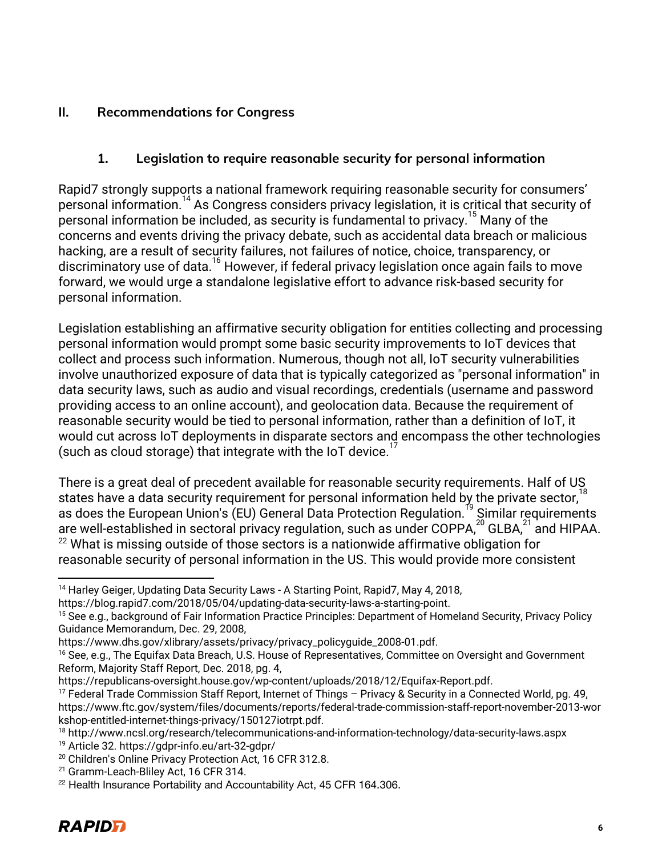### **II. Recommendations for Congress**

### **1. Legislation to require reasonable security for personal information**

Rapid7 strongly supports a national framework requiring reasonable security for consumers' personal information.<sup>14</sup> As Congress considers privacy legislation, it is critical that security of personal information be included, as security is fundamental to privacy.<sup>15</sup> Many of the concerns and events driving the privacy debate, such as accidental data breach or malicious hacking, are a result of security failures, not failures of notice, choice, transparency, or discriminatory use of data.<sup>16</sup> However, if federal privacy legislation once again fails to move forward, we would urge a standalone legislative effort to advance risk-based security for personal information.

Legislation establishing an affirmative security obligation for entities collecting and processing personal information would prompt some basic security improvements to IoT devices that collect and process such information. Numerous, though not all, IoT security vulnerabilities involve unauthorized exposure of data that is typically categorized as "personal information" in data security laws, such as audio and visual recordings, credentials (username and password providing access to an online account), and geolocation data. Because the requirement of reasonable security would be tied to personal information, rather than a definition of IoT, it would cut across IoT deployments in disparate sectors and encompass the other technologies (such as cloud storage) that integrate with the IoT device.<sup>1</sup>

There is a great deal of precedent available for reasonable security requirements. Half of US states have a data security requirement for personal information held by the private sector, $10$ as does the European Union's (EU) General Data Protection Regulation.<sup>19</sup> Similar requirements are well-established in sectoral privacy regulation, such as under COPPA, $^{20}$  GLBA, $^{21}$  and HIPAA.  $22$  What is missing outside of those sectors is a nationwide affirmative obligation for reasonable security of personal information in the US. This would provide more consistent

<sup>&</sup>lt;sup>14</sup> Harley Geiger, Updating Data Security Laws - A Starting Point, Rapid7, May 4, 2018,

https://blog.rapid7.com/2018/05/04/updating-data-security-laws-a-starting-point.

<sup>&</sup>lt;sup>15</sup> See e.g., background of Fair Information Practice Principles: Department of Homeland Security, Privacy Policy Guidance Memorandum, Dec. 29, 2008,

https://www.dhs.gov/xlibrary/assets/privacy/privacy\_policyguide\_2008-01.pdf.

<sup>&</sup>lt;sup>16</sup> See, e.g., The Equifax Data Breach, U.S. House of Representatives, Committee on Oversight and Government Reform, Majority Staff Report, Dec. 2018, pg. 4,

[https://republicans-oversight.house.gov/wp-content/uploads/2018/12/Equifax-Report.pdf.](https://republicans-oversight.house.gov/wp-content/uploads/2018/12/Equifax-Report.pdf)

<sup>17</sup> Federal Trade Commission Staff Report, Internet of Things – Privacy & Security in a Connected World, pg. 49, https://www.ftc.gov/system/files/documents/reports/federal-trade-commission-staff-report-november-2013-wor kshop-entitled-internet-things-privacy/150127iotrpt.pdf.

<sup>18</sup> http://www.ncsl.org/research/telecommunications-and-information-technology/data-security-laws.aspx

<sup>19</sup> Article 32. https://gdpr-info.eu/art-32-gdpr/

<sup>&</sup>lt;sup>20</sup> Children's Online Privacy Protection Act, 16 CFR 312.8.

<sup>&</sup>lt;sup>21</sup> Gramm-Leach-Bliley Act, 16 CFR 314.

<sup>&</sup>lt;sup>22</sup> Health Insurance Portability and Accountability Act, 45 CFR 164.306.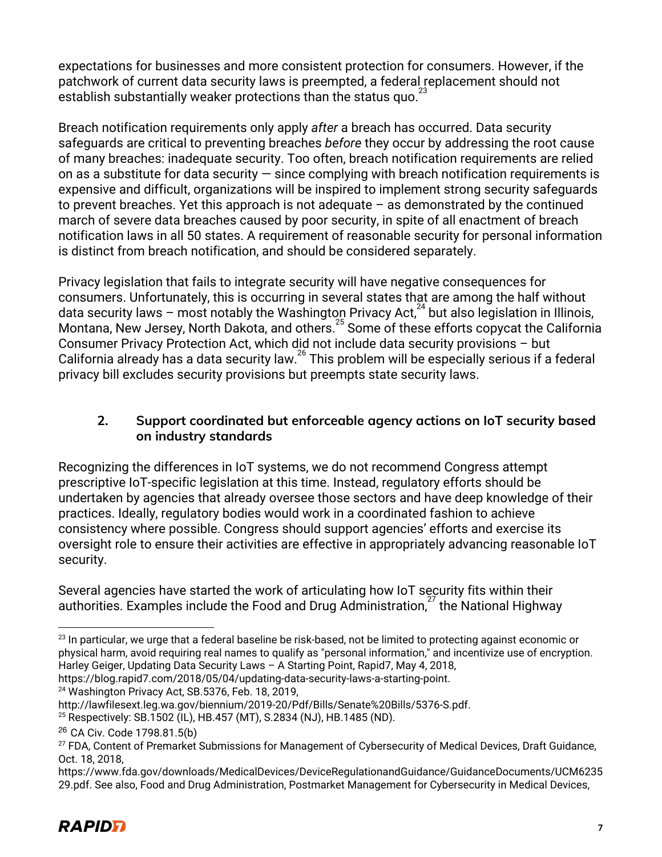expectations for businesses and more consistent protection for consumers. However, if the patchwork of current data security laws is preempted, a federal replacement should not establish substantially weaker protections than the status quo. $2$ 

Breach notification requirements only apply *after* a breach has occurred. Data security safeguards are critical to preventing breaches *before* they occur by addressing the root cause of many breaches: inadequate security. Too often, breach notification requirements are relied on as a substitute for data security  $-$  since complying with breach notification requirements is expensive and difficult, organizations will be inspired to implement strong security safeguards to prevent breaches. Yet this approach is not adequate  $-$  as demonstrated by the continued march of severe data breaches caused by poor security, in spite of all enactment of breach notification laws in all 50 states. A requirement of reasonable security for personal information is distinct from breach notification, and should be considered separately.

Privacy legislation that fails to integrate security will have negative consequences for consumers. Unfortunately, this is occurring in several states that are among the half without data security laws – most notably the Washington Privacy Act,  $^{24}$  but also legislation in Illinois, Montana, New Jersey, North Dakota, and others.<sup>25</sup> Some of these efforts copycat the California Consumer Privacy Protection Act, which did not include data security provisions – but California already has a data security law.<sup>26</sup> This problem will be especially serious if a federal 26 privacy bill excludes security provisions but preempts state security laws.

### **2. Support coordinated but enforceable agency actions on IoT security based on industry standards**

Recognizing the differences in IoT systems, we do not recommend Congress attempt prescriptive IoT-specific legislation at this time. Instead, regulatory efforts should be undertaken by agencies that already oversee those sectors and have deep knowledge of their practices. Ideally, regulatory bodies would work in a coordinated fashion to achieve consistency where possible. Congress should support agencies' efforts and exercise its oversight role to ensure their activities are effective in appropriately advancing reasonable IoT security.

Several agencies have started the work of articulating how IoT security fits within their authorities. Examples include the Food and Drug Administration, $27$  the National Highway

https://blog.rapid7.com/2018/05/04/updating-data-security-laws-a-starting-point.

<sup>24</sup> Washington Privacy Act, SB.5376, Feb. 18, 2019,

<sup>&</sup>lt;sup>23</sup> In particular, we urge that a federal baseline be risk-based, not be limited to protecting against economic or physical harm, avoid requiring real names to qualify as "personal information," and incentivize use of encryption. Harley Geiger, Updating Data Security Laws – A Starting Point, Rapid7, May 4, 2018,

http://lawfilesext.leg.wa.gov/biennium/2019-20/Pdf/Bills/Senate%20Bills/5376-S.pdf.

<sup>25</sup> Respectively: SB.1502 (IL), HB.457 (MT), S.2834 (NJ), HB.1485 (ND).

<sup>26</sup> CA Civ. Code 1798.81.5(b)

<sup>&</sup>lt;sup>27</sup> FDA, Content of Premarket Submissions for Management of Cybersecurity of Medical Devices, Draft Guidance, Oct. 18, 2018,

https://www.fda.gov/downloads/MedicalDevices/DeviceRegulationandGuidance/GuidanceDocuments/UCM6235 29.pdf. See also, Food and Drug Administration, Postmarket Management for Cybersecurity in Medical Devices,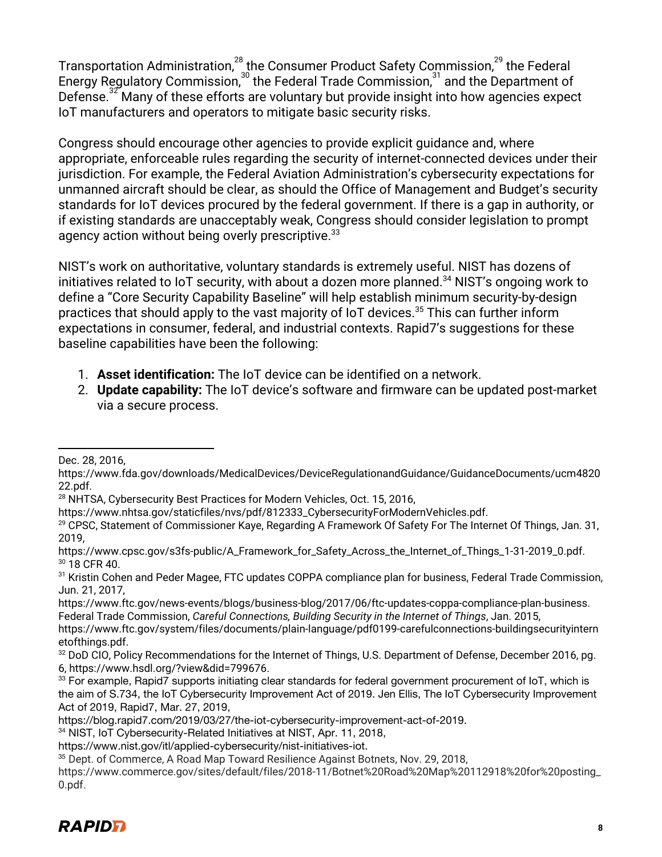Transportation Administration, $^{^{28}}$ the Consumer Product Safety Commission, $^{^{29}}$  the Federal Energy Regulatory Commission, $30$  the Federal Trade Commission, $31$  and the Department of Defense.<sup>32</sup> Many of these efforts are voluntary but provide insight into how agencies expect IoT manufacturers and operators to mitigate basic security risks.

Congress should encourage other agencies to provide explicit guidance and, where appropriate, enforceable rules regarding the security of internet-connected devices under their jurisdiction. For example, the Federal Aviation Administration's cybersecurity expectations for unmanned aircraft should be clear, as should the Office of Management and Budget's security standards for IoT devices procured by the federal government. If there is a gap in authority, or if existing standards are unacceptably weak, Congress should consider legislation to prompt agency action without being overly prescriptive.<sup>33</sup>

NIST's work on authoritative, voluntary standards is extremely useful. NIST has dozens of initiatives related to IoT security, with about a dozen more planned.<sup>34</sup> NIST's ongoing work to define a "Core Security Capability Baseline" will help establish minimum security-by-design practices that should apply to the vast majority of IoT devices. $35$  This can further inform expectations in consumer, federal, and industrial contexts. Rapid7's suggestions for these baseline capabilities have been the following:

- 1. **Asset identification:** The IoT device can be identified on a network.
- 2. **Update capability:** The IoT device's software and firmware can be updated post-market via a secure process.

Dec. 28, 2016,

https://www.fda.gov/downloads/MedicalDevices/DeviceRegulationandGuidance/GuidanceDocuments/ucm4820 22.pdf.

<sup>&</sup>lt;sup>28</sup> NHTSA, Cybersecurity Best Practices for Modern Vehicles, Oct. 15, 2016,

https://www.nhtsa.gov/staticfiles/nvs/pdf/812333\_CybersecurityForModernVehicles.pdf.

<sup>&</sup>lt;sup>29</sup> CPSC, Statement of Commissioner Kaye, Regarding A Framework Of Safety For The Internet Of Things, Jan. 31, 2019,

https://www.cpsc.gov/s3fs-public/A\_Framework\_for\_Safety\_Across\_the\_Internet\_of\_Things\_1-31-2019\_0.pdf. <sup>30</sup> 18 CFR 40.

<sup>&</sup>lt;sup>31</sup> Kristin Cohen and Peder Magee, FTC updates COPPA compliance plan for business, Federal Trade Commission, Jun. 21, 2017,

https://www.ftc.gov/news-events/blogs/business-blog/2017/06/ftc-updates-coppa-compliance-plan-business. Federal Trade Commission, *Careful Connections, Building Security in the Internet of Things*, Jan. 2015,

https://www.ftc.gov/system/files/documents/plain-language/pdf0199-carefulconnections-buildingsecurityintern etofthings.pdf.

<sup>32</sup> DoD CIO, Policy Recommendations for the Internet of Things, U.S. Department of Defense, December 2016, pg. 6, https://www.hsdl.org/?view&did=799676.

<sup>&</sup>lt;sup>33</sup> For example, Rapid7 supports initiating clear standards for federal government procurement of IoT, which is the aim of S.734, the IoT Cybersecurity Improvement Act of 2019. Jen Ellis, The IoT Cybersecurity Improvement Act of 2019, Rapid7, Mar. 27, 2019,

https://blog.rapid7.com/2019/03/27/the-iot-cybersecurity-improvement-act-of-2019.

<sup>&</sup>lt;sup>34</sup> NIST, IoT Cybersecurity-Related Initiatives at NIST, Apr. 11, 2018,

https://www.nist.gov/itl/applied-cybersecurity/nist-initiatives-iot.

<sup>35</sup> Dept. of Commerce, A Road Map Toward Resilience Against Botnets, Nov. 29, 2018,

https://www.commerce.gov/sites/default/files/2018-11/Botnet%20Road%20Map%20112918%20for%20posting\_ 0.pdf.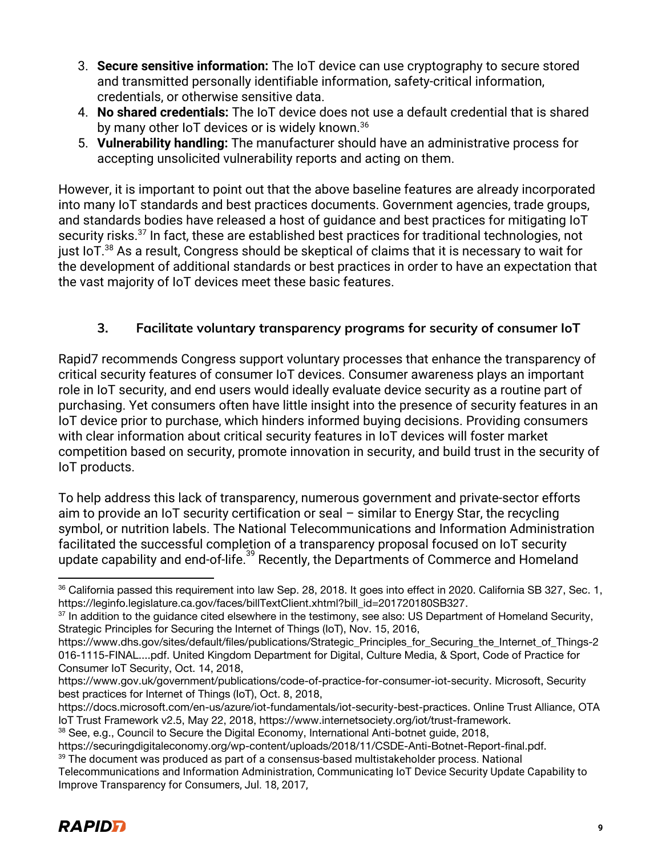- 3. **Secure sensitive information:** The IoT device can use cryptography to secure stored and transmitted personally identifiable information, safety-critical information, credentials, or otherwise sensitive data.
- 4. **No shared credentials:** The IoT device does not use a default credential that is shared by many other IoT devices or is widely known.<sup>36</sup>
- 5. **Vulnerability handling:** The manufacturer should have an administrative process for accepting unsolicited vulnerability reports and acting on them.

However, it is important to point out that the above baseline features are already incorporated into many IoT standards and best practices documents. Government agencies, trade groups, and standards bodies have released a host of guidance and best practices for mitigating IoT security risks.<sup>37</sup> In fact, these are established best practices for traditional technologies, not just IoT. $38$  As a result, Congress should be skeptical of claims that it is necessary to wait for the development of additional standards or best practices in order to have an expectation that the vast majority of IoT devices meet these basic features.

# **3. Facilitate voluntary transparency programs for security of consumer IoT**

Rapid7 recommends Congress support voluntary processes that enhance the transparency of critical security features of consumer IoT devices. Consumer awareness plays an important role in IoT security, and end users would ideally evaluate device security as a routine part of purchasing. Yet consumers often have little insight into the presence of security features in an IoT device prior to purchase, which hinders informed buying decisions. Providing consumers with clear information about critical security features in IoT devices will foster market competition based on security, promote innovation in security, and build trust in the security of IoT products.

To help address this lack of transparency, numerous government and private-sector efforts aim to provide an IoT security certification or seal – similar to Energy Star, the recycling symbol, or nutrition labels. The National Telecommunications and Information Administration facilitated the successful completion of a transparency proposal focused on IoT security update capability and end-of-life.<sup>39</sup> Recently, the Departments of Commerce and Homeland

Telecommunications and Information Administration, Communicating IoT Device Security Update Capability to Improve Transparency for Consumers, Jul. 18, 2017,



<sup>36</sup> California passed this requirement into law Sep. 28, 2018. It goes into effect in 2020. California SB 327, Sec. 1, https://leginfo.legislature.ca.gov/faces/billTextClient.xhtml?bill\_id=201720180SB327.

<sup>&</sup>lt;sup>37</sup> In addition to the guidance cited elsewhere in the testimony, see also: US Department of Homeland Security, Strategic Principles for Securing the Internet of Things (IoT), Nov. 15, 2016,

https://www.dhs.gov/sites/default/files/publications/Strategic\_Principles\_for\_Securing\_the\_Internet\_of\_Things-2 016-1115-FINAL....pdf. United Kingdom Department for Digital, Culture Media, & Sport, Code of Practice for Consumer IoT Security, Oct. 14, 2018,

https://www.gov.uk/government/publications/code-of-practice-for-consumer-iot-security. Microsoft, Security best practices for Internet of Things (IoT), Oct. 8, 2018,

https://docs.microsoft.com/en-us/azure/iot-fundamentals/iot-security-best-practices. Online Trust Alliance, OTA IoT Trust Framework v2.5, May 22, 2018, https://www.internetsociety.org/iot/trust-framework.

<sup>38</sup> See, e.g., Council to Secure the Digital Economy, International Anti-botnet guide, 2018,

https://securingdigitaleconomy.org/wp-content/uploads/2018/11/CSDE-Anti-Botnet-Report-final.pdf.  $39$  The document was produced as part of a consensus-based multistakeholder process. National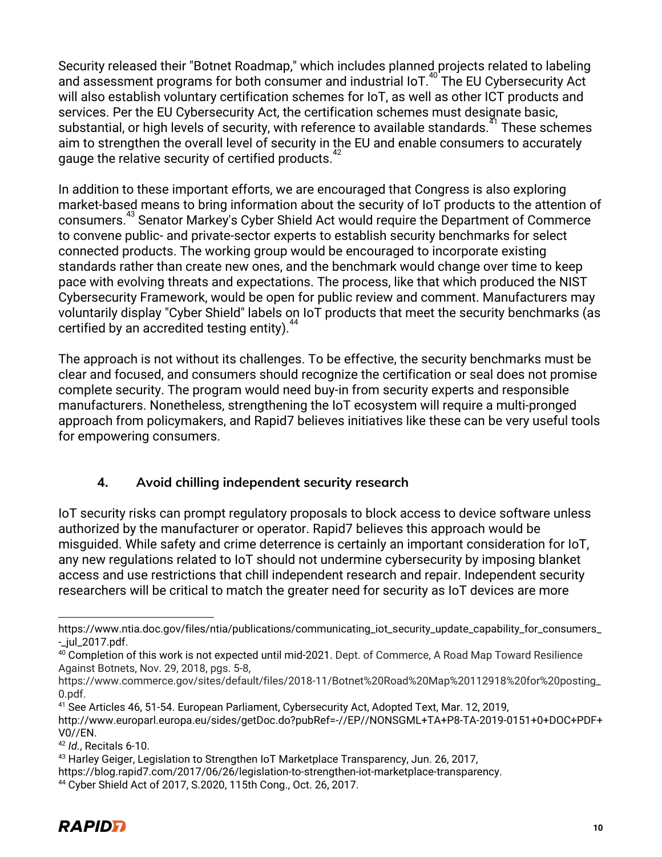Security released their "Botnet Roadmap," which includes planned projects related to labeling and assessment programs for both consumer and industrial IoT. $40^{\circ}$  The EU Cybersecurity Act will also establish voluntary certification schemes for IoT, as well as other ICT products and services. Per the EU Cybersecurity Act, the certification schemes must designate basic, substantial, or high levels of security, with reference to available standards.<sup>41</sup> These schemes aim to strengthen the overall level of security in the EU and enable consumers to accurately gauge the relative security of certified products.<sup>4</sup>

In addition to these important efforts, we are encouraged that Congress is also exploring market-based means to bring information about the security of IoT products to the attention of consumers.<sup>43</sup> Senator Markey's Cyber Shield Act would require the Department of Commerce to convene public- and private-sector experts to establish security benchmarks for select connected products. The working group would be encouraged to incorporate existing standards rather than create new ones, and the benchmark would change over time to keep pace with evolving threats and expectations. The process, like that which produced the NIST Cybersecurity Framework, would be open for public review and comment. Manufacturers may voluntarily display "Cyber Shield" labels on IoT products that meet the security benchmarks (as certified by an accredited testing entity). $4$ 

The approach is not without its challenges. To be effective, the security benchmarks must be clear and focused, and consumers should recognize the certification or seal does not promise complete security. The program would need buy-in from security experts and responsible manufacturers. Nonetheless, strengthening the IoT ecosystem will require a multi-pronged approach from policymakers, and Rapid7 believes initiatives like these can be very useful tools for empowering consumers.

# **4. Avoid chilling independent security research**

IoT security risks can prompt regulatory proposals to block access to device software unless authorized by the manufacturer or operator. Rapid7 believes this approach would be misguided. While safety and crime deterrence is certainly an important consideration for IoT, any new regulations related to IoT should not undermine cybersecurity by imposing blanket access and use restrictions that chill independent research and repair. Independent security researchers will be critical to match the greater need for security as IoT devices are more

https://www.ntia.doc.gov/files/ntia/publications/communicating\_iot\_security\_update\_capability\_for\_consumers\_ -\_jul\_2017.pdf.

<sup>&</sup>lt;sup>40</sup> Completion of this work is not expected until mid-2021. Dept. of Commerce, A Road Map Toward Resilience Against Botnets, Nov. 29, 2018, pgs. 5-8,

https://www.commerce.gov/sites/default/files/2018-11/Botnet%20Road%20Map%20112918%20for%20posting\_ 0.pdf.

<sup>41</sup> See Articles 46, 51-54. European Parliament, Cybersecurity Act, Adopted Text, Mar. 12, 2019, http://www.europarl.europa.eu/sides/getDoc.do?pubRef=-//EP//NONSGML+TA+P8-TA-2019-0151+0+DOC+PDF+ V0//EN.

<sup>42</sup> *Id.*, Recitals 6-10.

<sup>43</sup> Harley Geiger, Legislation to Strengthen IoT Marketplace Transparency, Jun. 26, 2017,

https://blog.rapid7.com/2017/06/26/legislation-to-strengthen-iot-marketplace-transparency.

<sup>44</sup> Cyber Shield Act of 2017, S.2020, 115th Cong., Oct. 26, 2017.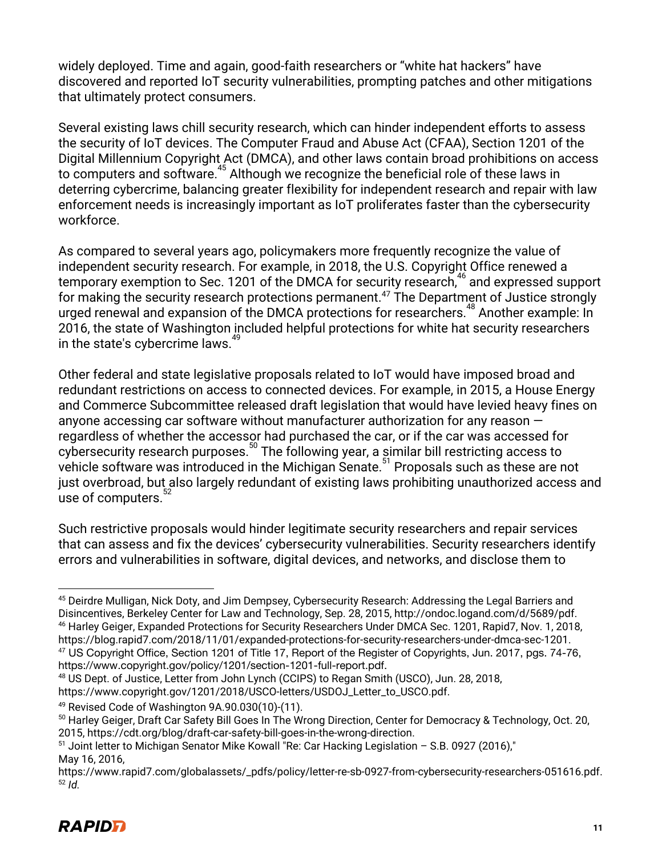widely deployed. Time and again, good-faith researchers or "white hat hackers" have discovered and reported IoT security vulnerabilities, prompting patches and other mitigations that ultimately protect consumers.

Several existing laws chill security research, which can hinder independent efforts to assess the security of IoT devices. The Computer Fraud and Abuse Act (CFAA), Section 1201 of the Digital Millennium Copyright Act (DMCA), and other laws contain broad prohibitions on access to computers and software.<sup>45</sup> Although we recognize the beneficial role of these laws in deterring cybercrime, balancing greater flexibility for independent research and repair with law enforcement needs is increasingly important as IoT proliferates faster than the cybersecurity workforce.

As compared to several years ago, policymakers more frequently recognize the value of independent security research. For example, in 2018, the U.S. Copyright Office renewed a temporary exemption to Sec. 1201 of the DMCA for security research,  $46$  and expressed support for making the security research protections permanent.<sup>47</sup> The Department of Justice strongly urged renewal and expansion of the DMCA protections for researchers. $48$  Another example: In 2016, the state of Washington included helpful protections for white hat security researchers in the state's cybercrime laws.<sup>49</sup>

Other federal and state legislative proposals related to IoT would have imposed broad and redundant restrictions on access to connected devices. For example, in 2015, a House Energy and Commerce Subcommittee released draft legislation that would have levied heavy fines on anyone accessing car software without manufacturer authorization for any reason regardless of whether the accessor had purchased the car, or if the car was accessed for cybersecurity research purposes.<sup>50</sup> The following year, a similar bill restricting access to 50 cybersecurity research purposes.<sup>50</sup> The following year, a similar bill restricting access to vehicle software was introduced in the Michigan Senate.<sup>51</sup> Proposals such as these are not just overbroad, but also largely redundant of existing laws prohibiting unauthorized access and use of computers.

Such restrictive proposals would hinder legitimate security researchers and repair services that can assess and fix the devices' cybersecurity vulnerabilities. Security researchers identify errors and vulnerabilities in software, digital devices, and networks, and disclose them to

<sup>45</sup> Deirdre Mulligan, Nick Doty, and Jim Dempsey, Cybersecurity Research: Addressing the Legal Barriers and Disincentives, Berkeley Center for Law and Technology, Sep. 28, 2015, http://ondoc.logand.com/d/5689/pdf. <sup>46</sup> Harley Geiger, Expanded Protections for Security Researchers Under DMCA Sec. 1201, Rapid7, Nov. 1, 2018, https://blog.rapid7.com/2018/11/01/expanded-protections-for-security-researchers-under-dmca-sec-1201.

<sup>&</sup>lt;sup>47</sup> US Copyright Office, Section 1201 of Title 17, Report of the Register of Copyrights, Jun. 2017, pgs. 74-76, https://www.copyright.gov/policy/1201/section-1201-full-report.pdf.

<sup>48</sup> US Dept. of Justice, Letter from John Lynch (CCIPS) to Regan Smith (USCO), Jun. 28, 2018, https://www.copyright.gov/1201/2018/USCO-letters/USDOJ\_Letter\_to\_USCO.pdf.

<sup>49</sup> Revised Code of Washington 9A.90.030(10)-(11).

<sup>&</sup>lt;sup>50</sup> Harley Geiger, Draft Car Safety Bill Goes In The Wrong Direction, Center for Democracy & Technology, Oct. 20, 2015, https://cdt.org/blog/draft-car-safety-bill-goes-in-the-wrong-direction.

<sup>51</sup> Joint letter to Michigan Senator Mike Kowall "Re: Car Hacking Legislation – S.B. 0927 (2016)," May 16, 2016,

https://www.rapid7.com/globalassets/\_pdfs/policy/letter-re-sb-0927-from-cybersecurity-researchers-051616.pdf. <sup>52</sup> *Id.*